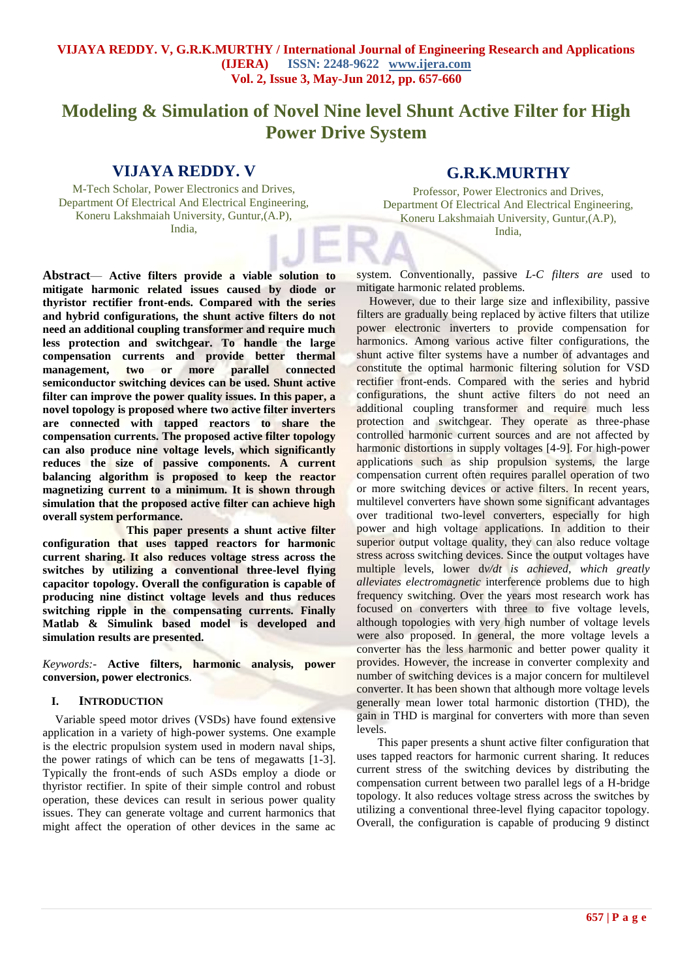# **Modeling & Simulation of Novel Nine level Shunt Active Filter for High Power Drive System**

## **VIJAYA REDDY. V**

M-Tech Scholar, Power Electronics and Drives, Department Of Electrical And Electrical Engineering, Koneru Lakshmaiah University, Guntur,(A.P), India,

## **G.R.K.MURTHY**

Professor, Power Electronics and Drives, Department Of Electrical And Electrical Engineering, Koneru Lakshmaiah University, Guntur,(A.P), India,

**Abstract**— **Active filters provide a viable solution to mitigate harmonic related issues caused by diode or thyristor rectifier front-ends. Compared with the series and hybrid configurations, the shunt active filters do not need an additional coupling transformer and require much less protection and switchgear. To handle the large compensation currents and provide better thermal management, two or more parallel connected semiconductor switching devices can be used. Shunt active filter can improve the power quality issues. In this paper, a novel topology is proposed where two active filter inverters are connected with tapped reactors to share the compensation currents. The proposed active filter topology can also produce nine voltage levels, which significantly reduces the size of passive components. A current balancing algorithm is proposed to keep the reactor magnetizing current to a minimum. It is shown through simulation that the proposed active filter can achieve high overall system performance.**

**This paper presents a shunt active filter configuration that uses tapped reactors for harmonic current sharing. It also reduces voltage stress across the switches by utilizing a conventional three-level flying capacitor topology. Overall the configuration is capable of producing nine distinct voltage levels and thus reduces switching ripple in the compensating currents. Finally Matlab & Simulink based model is developed and simulation results are presented.**

*Keywords:-* **Active filters, harmonic analysis, power conversion, power electronics**.

#### **I. INTRODUCTION**

Variable speed motor drives (VSDs) have found extensive application in a variety of high-power systems. One example is the electric propulsion system used in modern naval ships, the power ratings of which can be tens of megawatts [1-3]. Typically the front-ends of such ASDs employ a diode or thyristor rectifier. In spite of their simple control and robust operation, these devices can result in serious power quality issues. They can generate voltage and current harmonics that might affect the operation of other devices in the same ac

system. Conventionally, passive *L-C filters are* used to mitigate harmonic related problems.

However, due to their large size and inflexibility, passive filters are gradually being replaced by active filters that utilize power electronic inverters to provide compensation for harmonics. Among various active filter configurations, the shunt active filter systems have a number of advantages and constitute the optimal harmonic filtering solution for VSD rectifier front-ends. Compared with the series and hybrid configurations, the shunt active filters do not need an additional coupling transformer and require much less protection and switchgear. They operate as three-phase controlled harmonic current sources and are not affected by harmonic distortions in supply voltages [4-9]. For high-power applications such as ship propulsion systems, the large compensation current often requires parallel operation of two or more switching devices or active filters. In recent years, multilevel converters have shown some significant advantages over traditional two-level converters, especially for high power and high voltage applications. In addition to their superior output voltage quality, they can also reduce voltage stress across switching devices. Since the output voltages have multiple levels, lower d*v/dt is achieved, which greatly alleviates electromagnetic* interference problems due to high frequency switching. Over the years most research work has focused on converters with three to five voltage levels, although topologies with very high number of voltage levels were also proposed. In general, the more voltage levels a converter has the less harmonic and better power quality it provides. However, the increase in converter complexity and number of switching devices is a major concern for multilevel converter. It has been shown that although more voltage levels generally mean lower total harmonic distortion (THD), the gain in THD is marginal for converters with more than seven levels.

This paper presents a shunt active filter configuration that uses tapped reactors for harmonic current sharing. It reduces current stress of the switching devices by distributing the compensation current between two parallel legs of a H-bridge topology. It also reduces voltage stress across the switches by utilizing a conventional three-level flying capacitor topology. Overall, the configuration is capable of producing 9 distinct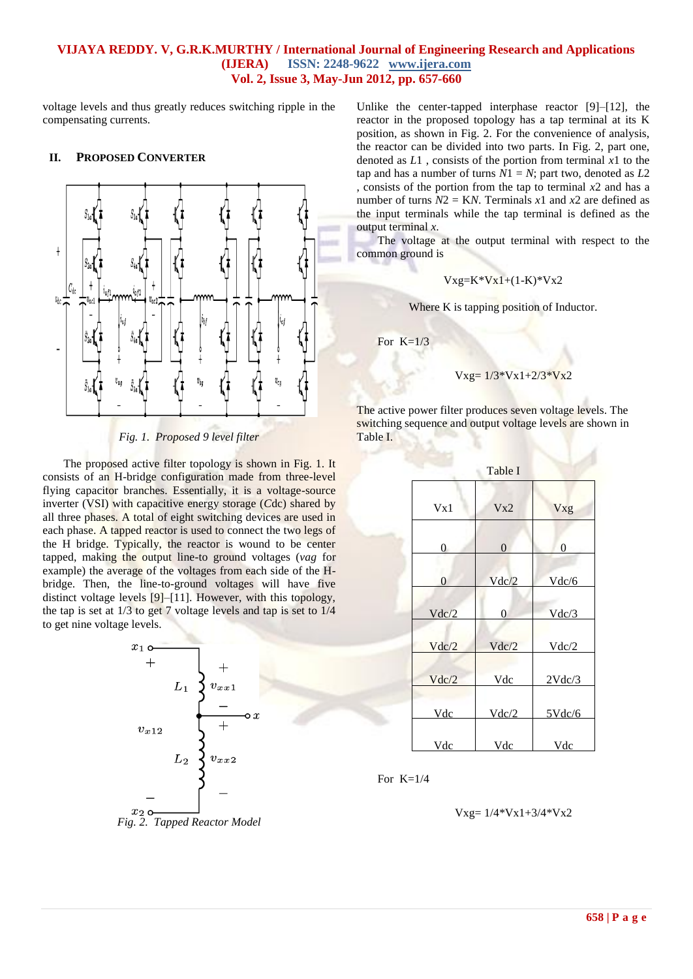voltage levels and thus greatly reduces switching ripple in the compensating currents.

#### **II. PROPOSED CONVERTER**



*Fig. 1. Proposed 9 level filter*

The proposed active filter topology is shown in Fig. 1. It consists of an H-bridge configuration made from three-level flying capacitor branches. Essentially, it is a voltage-source inverter (VSI) with capacitive energy storage (*C*dc) shared by all three phases. A total of eight switching devices are used in each phase. A tapped reactor is used to connect the two legs of the H bridge. Typically, the reactor is wound to be center tapped, making the output line-to ground voltages (*vag* for example) the average of the voltages from each side of the Hbridge. Then, the line-to-ground voltages will have five distinct voltage levels [9]–[11]. However, with this topology, the tap is set at 1/3 to get 7 voltage levels and tap is set to 1/4 to get nine voltage levels.



Unlike the center-tapped interphase reactor [9]–[12], the reactor in the proposed topology has a tap terminal at its K position, as shown in Fig. 2. For the convenience of analysis, the reactor can be divided into two parts. In Fig. 2, part one, denoted as *L*1 , consists of the portion from terminal *x*1 to the tap and has a number of turns  $\overline{N1} = N$ ; part two, denoted as  $L2$ , consists of the portion from the tap to terminal *x*2 and has a number of turns  $N2 = KN$ . Terminals  $x1$  and  $x2$  are defined as the input terminals while the tap terminal is defined as the output terminal *x*.

The voltage at the output terminal with respect to the common ground is

$$
Vxg=K*Vx1+(1-K)*Vx2
$$

Where K is tapping position of Inductor.

For  $K=1/3$ 

#### $Vxg= 1/3*Vx1+2/3*Vx2$

The active power filter produces seven voltage levels. The switching sequence and output voltage levels are shown in Table I.

| Table I |                |                |
|---------|----------------|----------------|
|         |                |                |
| Vx1     | Vx2            | Vxg            |
|         |                |                |
| 0       | $\overline{0}$ | $\overline{0}$ |
|         |                |                |
| 0       | Vdc/2          | Vdc/6          |
|         |                |                |
| Vdc/2   | 0              | Vdc/3          |
|         |                |                |
| Vdc/2   | Vdc/2          | Vdc/2          |
|         |                |                |
| Vdc/2   | Vdc            | 2Vdc/3         |
|         |                |                |
| Vdc     | Vdc/2          | $5$ Vdc/6      |
|         |                |                |
| Vdc     | Vdc            | Vdc            |

For  $K=1/4$ 

$$
Vxg = 1/4*Vx1 + 3/4*Vx2
$$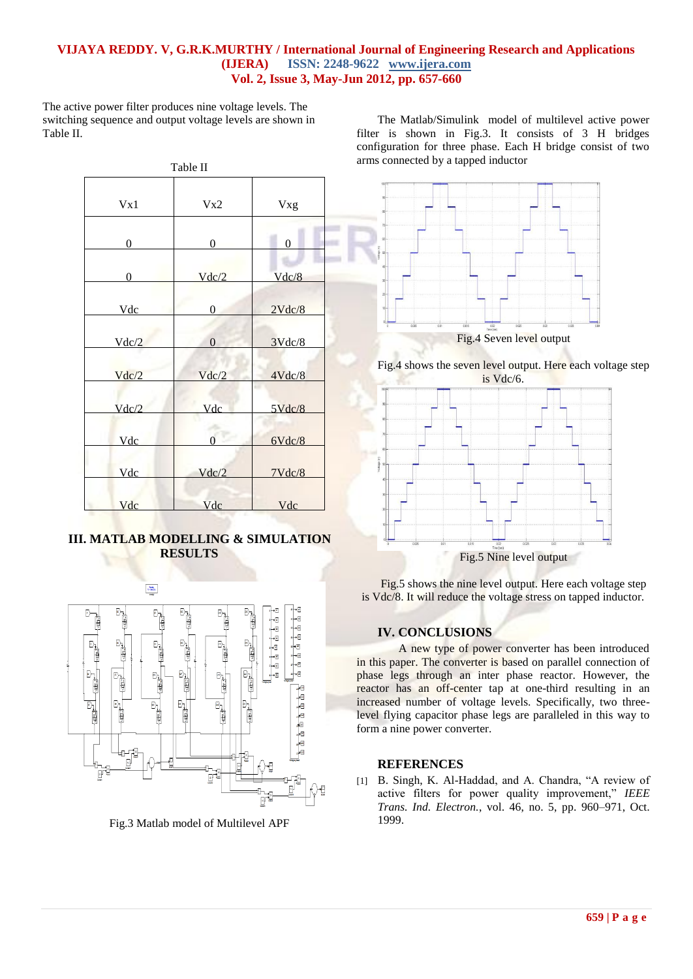The active power filter produces nine voltage levels. The switching sequence and output voltage levels are shown in Table II.

| Table II       |                  |                   |
|----------------|------------------|-------------------|
| Vx1            | Vx2              | Vxg               |
| 0              | $\boldsymbol{0}$ | $\boldsymbol{0}$  |
| $\overline{0}$ | Vdc/2            | Vdc/8             |
| Vdc            | 0                | 2Vdc/8            |
| Vdc/2          | $\overline{0}$   | $3$ Vdc $/8$      |
| Vdc/2          | Vdc/2            | 4Vdc/8            |
| Vdc/2          | Vdc              | $5 \text{Vdc}$ /8 |
| Vdc            | $\Omega$         | 6Vdc/8            |
| Vdc            | Vdc/2            | 7Vdc/8            |
| Vdc            | Vdc              | Vdc               |

**III. MATLAB MODELLING & SIMULATION RESULTS**



Fig.3 Matlab model of Multilevel APF

The Matlab/Simulink model of multilevel active power filter is shown in Fig.3. It consists of 3 H bridges configuration for three phase. Each H bridge consist of two arms connected by a tapped inductor



Fig.4 shows the seven level output. Here each voltage step



Fig.5 shows the nine level output. Here each voltage step is Vdc/8. It will reduce the voltage stress on tapped inductor.

# **IV. CONCLUSIONS**

A new type of power converter has been introduced in this paper. The converter is based on parallel connection of phase legs through an inter phase reactor. However, the reactor has an off-center tap at one-third resulting in an increased number of voltage levels. Specifically, two threelevel flying capacitor phase legs are paralleled in this way to form a nine power converter.

## **REFERENCES**

[1] B. Singh, K. Al-Haddad, and A. Chandra, "A review of active filters for power quality improvement," IEEE *Trans. Ind. Electron.*, vol. 46, no. 5, pp. 960–971, Oct. 1999.